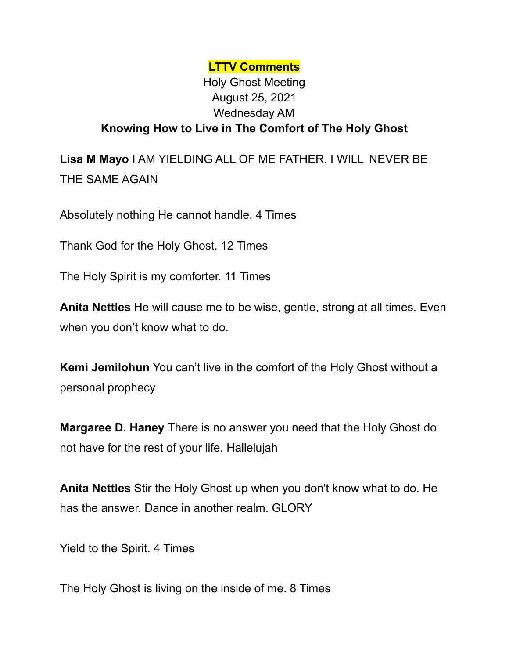## **LTTV Comments** Holy Ghost Meeting August 25, 2021 Wednesday AM **Knowing How to Live in The Comfort of The Holy Ghost**

**Lisa M Mayo** I AM YIELDING ALL OF ME FATHER. I WILL NEVER BE THE SAME AGAIN

Absolutely nothing He cannot handle. 4 Times

Thank God for the Holy Ghost. 12 Times

The Holy Spirit is my comforter. 11 Times

**Anita Nettles** He will cause me to be wise, gentle, strong at all times. Even when you don't know what to do.

**Kemi Jemilohun** You can't live in the comfort of the Holy Ghost without a personal prophecy

**Margaree D. Haney** There is no answer you need that the Holy Ghost do not have for the rest of your life. Hallelujah

**Anita Nettles** Stir the Holy Ghost up when you don't know what to do. He has the answer. Dance in another realm. GLORY

Yield to the Spirit. 4 Times

The Holy Ghost is living on the inside of me. 8 Times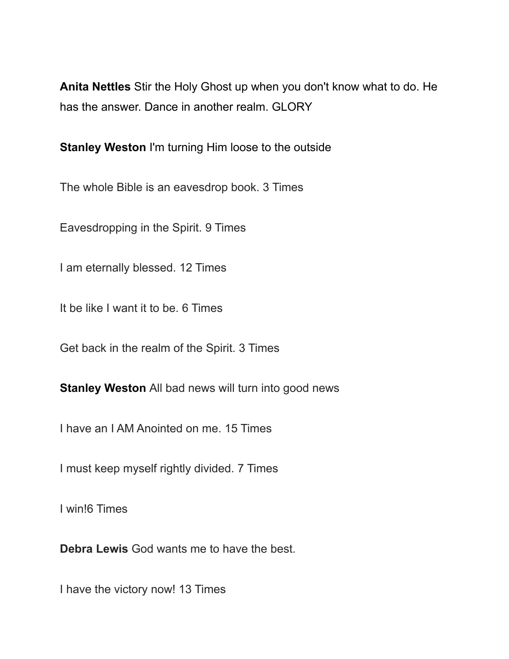**Anita Nettles** Stir the Holy Ghost up when you don't know what to do. He has the answer. Dance in another realm. GLORY

**Stanley Weston** I'm turning Him loose to the outside

The whole Bible is an eavesdrop book. 3 Times

Eavesdropping in the Spirit. 9 Times

I am eternally blessed. 12 Times

It be like I want it to be. 6 Times

Get back in the realm of the Spirit. 3 Times

**Stanley Weston** All bad news will turn into good news

I have an I AM Anointed on me. 15 Times

I must keep myself rightly divided. 7 Times

I win!6 Times

**Debra Lewis** God wants me to have the best.

I have the victory now! 13 Times